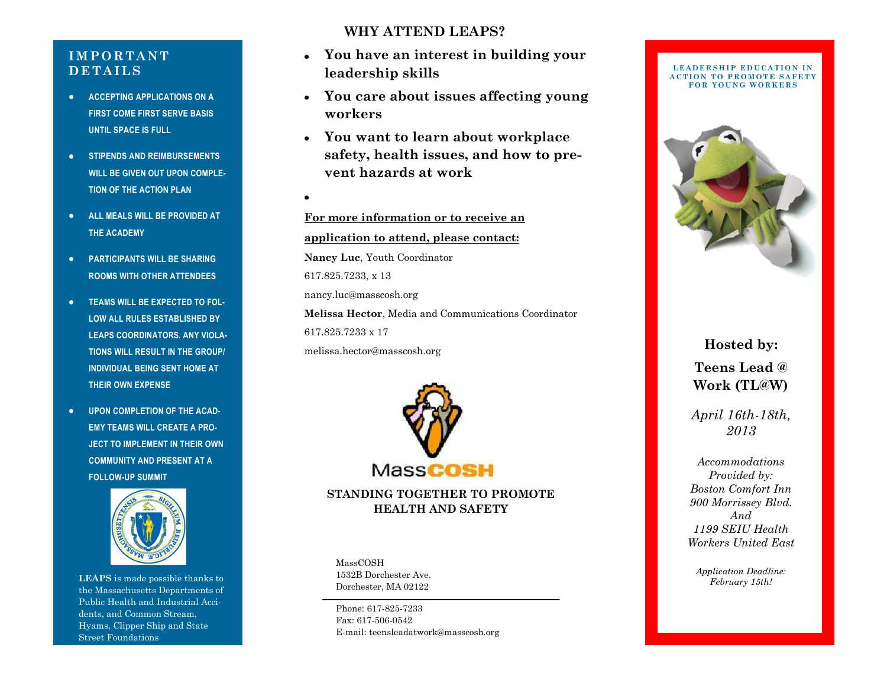# **I M P O R T A N T D E T A I L S**

- $\bullet$  . **ACCEPTING APPLICATIONS ON A FIRST COME FIRST SERVE BASIS UNTIL SPACE IS FULL**
- **STIPENDS AND REIMBURSEMENTS**   $\bullet$  . **WILL BE GIVEN OUT UPON COMPLE-TION OF THE ACTION PLAN**
- **ALL MEALS WILL BE PROVIDED AT**   $\bullet$ **THE ACADEMY**
- **PARTICIPANTS WILL BE SHARING**   $\bullet$ **ROOMS WITH OTHER ATTENDEES**
- **TEAMS WILL BE EXPECTED TO FOL-** $\bullet$ **LOW ALL RULES ESTABLISHED BY LEAPS COORDINATORS. ANY VIOLA-TIONS WILL RESULT IN THE GROUP/ INDIVIDUAL BEING SENT HOME AT THEIR OWN EXPENSE**
- **UPON COMPLETION OF THE ACAD-** $\bullet$ **EMY TEAMS WILL CREATE A PRO-JECT TO IMPLEMENT IN THEIR OWN COMMUNITY AND PRESENT AT A FOLLOW-UP SUMMIT**



**LEAPS** is made possible thanks to the Massachusetts Departments of Public Health and Industrial Accidents, and Common Stream, Hyams, Clipper Ship and State Street Foundations

# **WHY ATTEND LEAPS?**

- **You have an interest in building your leadership skills**
- **You care about issues affecting young workers**
- **You want to learn about workplace safety, health issues, and how to prevent hazards at work**
- **For more information or to receive an application to attend, please contact: Nancy Luc**, Youth Coordinator 617.825.7233, x 13 nancy.luc@masscosh.org **Melissa Hector**, Media and Communications Coordinator 617.825.7233 x 17 melissa.hector@masscosh.org



## **STANDING TOGETHER TO PROMOTE HEALTH AND SAFETY**

MassCOSH 1532B Dorchester Ave. Dorchester, MA 02122

Phone: 617-825-7233 Fax: 617-506-0542 E-mail: teensleadatwork@masscosh.org

#### LEADERSHIP EDUCATION IN **ACTION TO PROMOTE SAFETY FOR YOUNG WORKERS**



**Hosted by: Teens Lead @ Work (TL@W)**

*April 16th-18th, 2013*

*Accommodations Provided by: Boston Comfort Inn 900 Morrissey Blvd. And 1199 SEIU Health Workers United East* 

*Application Deadline: February 15th!*